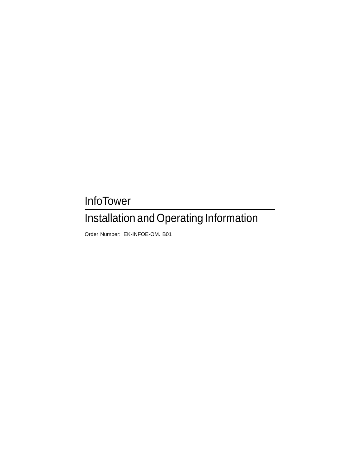## InfoTower

## Installation and Operating Information

Order Number: EK-INFOE-OM. B01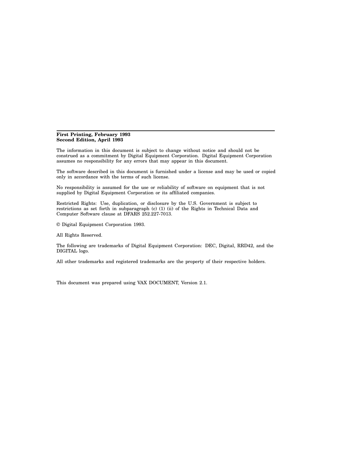#### **First Printing, February 1993 Second Edition, April 1993**

The information in this document is subject to change without notice and should not be construed as a commitment by Digital Equipment Corporation. Digital Equipment Corporation assumes no responsibility for any errors that may appear in this document.

The software described in this document is furnished under a license and may be used or copied only in accordance with the terms of such license.

No responsibility is assumed for the use or reliability of software on equipment that is not supplied by Digital Equipment Corporation or its affiliated companies.

Restricted Rights: Use, duplication, or disclosure by the U.S. Government is subject to restrictions as set forth in subparagraph (c) (1) (ii) of the Rights in Technical Data and Computer Software clause at DFARS 252.227-7013.

© Digital Equipment Corporation 1993.

All Rights Reserved.

The following are trademarks of Digital Equipment Corporation: DEC, Digital, RRD42, and the DIGITAL logo.

All other trademarks and registered trademarks are the property of their respective holders.

This document was prepared using VAX DOCUMENT, Version 2.1.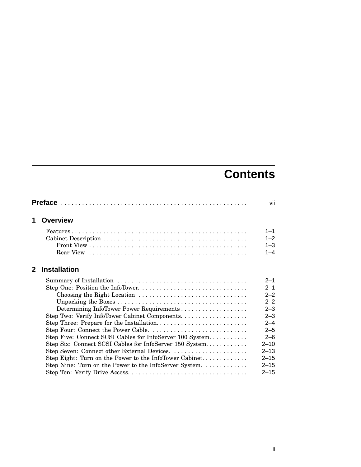## **Contents**

|              |                                                          | vii                |
|--------------|----------------------------------------------------------|--------------------|
| 1            | <b>Overview</b>                                          |                    |
|              |                                                          | $1 - 1$<br>$1 - 2$ |
|              |                                                          | $1 - 3$            |
|              |                                                          | $1 - 4$            |
| $\mathbf{2}$ | <b>Installation</b>                                      |                    |
|              |                                                          | $2 - 1$            |
|              |                                                          | $2 - 1$            |
|              |                                                          | $2 - 2$            |
|              |                                                          | $2 - 2$            |
|              | Determining InfoTower Power Requirements                 | $2 - 3$            |
|              | Step Two: Verify InfoTower Cabinet Components.           | $2 - 3$            |
|              | Step Three: Prepare for the Installation                 | $2 - 4$            |
|              |                                                          | $2 - 5$            |
|              | Step Five: Connect SCSI Cables for InfoServer 100 System | $2 - 6$            |
|              | Step Six: Connect SCSI Cables for InfoServer 150 System  | $2 - 10$           |
|              |                                                          | $2 - 13$           |
|              |                                                          | $2 - 15$           |
|              | Step Nine: Turn on the Power to the InfoServer System    | $2 - 15$           |
|              |                                                          | $2 - 15$           |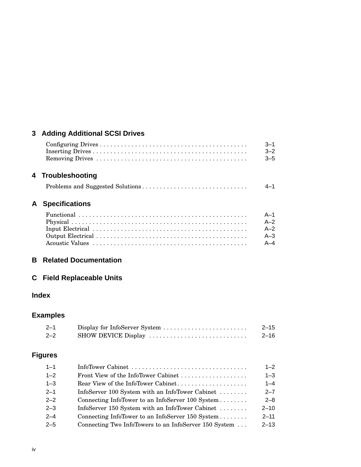## **3 Adding Additional SCSI Drives**

|   |                       | $3 - 1$<br>$3 - 2$<br>$3 - 5$ |
|---|-----------------------|-------------------------------|
|   | 4 Troubleshooting     |                               |
|   |                       | $4 - 1$                       |
| A | <b>Specifications</b> |                               |
|   |                       | $A-1$                         |
|   |                       | $A-2$                         |
|   |                       | $A - 2$                       |
|   |                       | $A - 3$                       |
|   |                       | $A - 4$                       |

#### **B Related Documentation**

## **C Field Replaceable Units**

## **Index**

## **Examples**

| $2 - 1$ | Display for InfoServer System | $2 - 15$ |
|---------|-------------------------------|----------|
| $2 - 2$ | SHOW DEVICE Display           | 2–16     |

## **Figures**

| $1 - 1$ |                                                       | $1 - 2$  |
|---------|-------------------------------------------------------|----------|
| $1 - 2$ | Front View of the InfoTower Cabinet                   | $1 - 3$  |
| $1 - 3$ | Rear View of the InfoTower Cabinet                    | $1 - 4$  |
| $2 - 1$ | InfoServer 100 System with an InfoTower Cabinet       | $2 - 7$  |
| $2 - 2$ | Connecting InfoTower to an InfoServer 100 System      | $2 - 8$  |
| $2 - 3$ | InfoServer 150 System with an InfoTower Cabinet       | $2 - 10$ |
| $2 - 4$ | Connecting InfoTower to an InfoServer 150 System      | $2 - 11$ |
| $2 - 5$ | Connecting Two InfoTowers to an InfoServer 150 System | $2 - 13$ |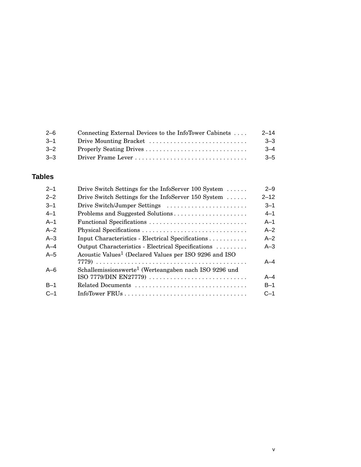| $2 - 6$ | Connecting External Devices to the InfoTower Cabinets | $2 - 14$ |
|---------|-------------------------------------------------------|----------|
| $-3-1$  | Drive Mounting Bracket                                | $3 - 3$  |
| $3 - 2$ |                                                       | $-4$     |
| $3 - 3$ |                                                       | $3 - 5$  |

## **Tables**

| $2 - 1$ | Drive Switch Settings for the InfoServer 100 System                | $2 - 9$  |
|---------|--------------------------------------------------------------------|----------|
| $2 - 2$ | Drive Switch Settings for the InfoServer 150 System                | $2 - 12$ |
| $3 - 1$ | Drive Switch/Jumper Settings                                       | $3 - 1$  |
| $4 - 1$ | Problems and Suggested Solutions                                   | $4 - 1$  |
| $A-1$   | Functional Specifications                                          | $A-1$    |
| $A-2$   |                                                                    | $A - 2$  |
| $A-3$   | Input Characteristics - Electrical Specifications                  | $A - 2$  |
| $A-4$   | Output Characteristics - Electrical Specifications                 | $A - 3$  |
| $A-5$   | Acoustic Values <sup>1</sup> (Declared Values per ISO 9296 and ISO |          |
|         |                                                                    | A–4      |
| $A-6$   | Schallemissionswerte <sup>1</sup> (Werteangaben nach ISO 9296 und  |          |
|         |                                                                    | A–4      |
| $B-1$   | Related Documents                                                  | $B-1$    |
| $C-1$   |                                                                    | $C - 1$  |
|         |                                                                    |          |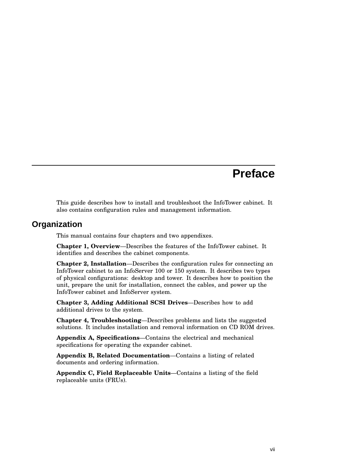## **Preface**

This guide describes how to install and troubleshoot the InfoTower cabinet. It also contains configuration rules and management information.

### **Organization**

This manual contains four chapters and two appendixes.

**Chapter 1, Overview**—Describes the features of the InfoTower cabinet. It identifies and describes the cabinet components.

**Chapter 2, Installation**—Describes the configuration rules for connecting an InfoTower cabinet to an InfoServer 100 or 150 system. It describes two types of physical configurations: desktop and tower. It describes how to position the unit, prepare the unit for installation, connect the cables, and power up the InfoTower cabinet and InfoServer system.

**Chapter 3, Adding Additional SCSI Drives**—Describes how to add additional drives to the system.

**Chapter 4, Troubleshooting**—Describes problems and lists the suggested solutions. It includes installation and removal information on CD ROM drives.

**Appendix A, Specifications**—Contains the electrical and mechanical specifications for operating the expander cabinet.

**Appendix B, Related Documentation**—Contains a listing of related documents and ordering information.

**Appendix C, Field Replaceable Units**—Contains a listing of the field replaceable units (FRUs).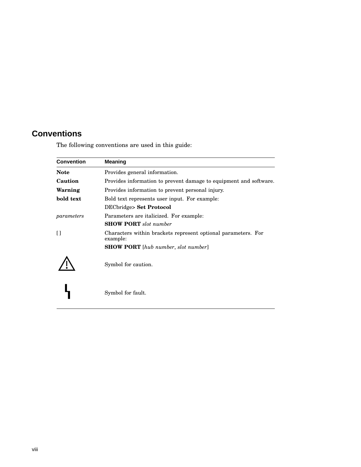## **Conventions**

The following conventions are used in this guide:

| <b>Convention</b><br><b>Meaning</b> |                                                                           |  |  |  |  |
|-------------------------------------|---------------------------------------------------------------------------|--|--|--|--|
| <b>Note</b>                         | Provides general information.                                             |  |  |  |  |
| Caution                             | Provides information to prevent damage to equipment and software.         |  |  |  |  |
| Warning                             | Provides information to prevent personal injury.                          |  |  |  |  |
| bold text                           | Bold text represents user input. For example:                             |  |  |  |  |
|                                     | DECbridge> Set Protocol                                                   |  |  |  |  |
| parameters                          | Parameters are italicized. For example:                                   |  |  |  |  |
|                                     | <b>SHOW PORT</b> slot number                                              |  |  |  |  |
| Ħ                                   | Characters within brackets represent optional parameters. For<br>example: |  |  |  |  |
|                                     | <b>SHOW PORT</b> [hub number, slot number]                                |  |  |  |  |
|                                     | Symbol for caution.                                                       |  |  |  |  |
|                                     | Symbol for fault.                                                         |  |  |  |  |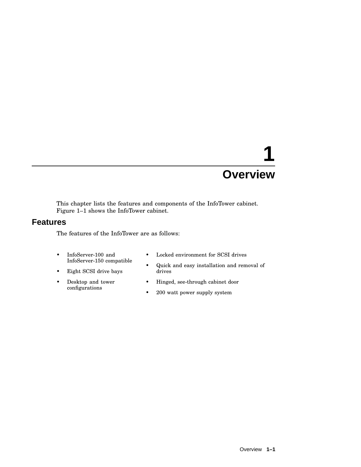## **1 Overview**

This chapter lists the features and components of the InfoTower cabinet. Figure 1–1 shows the InfoTower cabinet.

### **Features**

The features of the InfoTower are as follows:

- InfoServer-100 and InfoServer-150 compatible
- Eight SCSI drive bays
- Desktop and tower configurations
- Locked environment for SCSI drives
- Quick and easy installation and removal of drives
- Hinged, see-through cabinet door
- 200 watt power supply system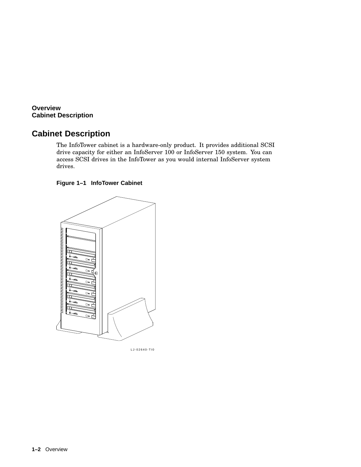**Overview Cabinet Description**

## **Cabinet Description**

The InfoTower cabinet is a hardware-only product. It provides additional SCSI drive capacity for either an InfoServer 100 or InfoServer 150 system. You can access SCSI drives in the InfoTower as you would internal InfoServer system drives.

#### **Figure 1–1 InfoTower Cabinet**



Scale 3/16 LJ-02640-TI0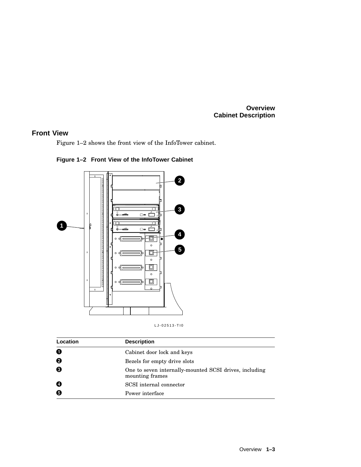#### **Overview Cabinet Description**

#### **Front View**

Figure 1–2 shows the front view of the InfoTower cabinet.



**Figure 1–2 Front View of the InfoTower Cabinet**

| Location | <b>Description</b>                                                        |  |
|----------|---------------------------------------------------------------------------|--|
| 0        | Cabinet door lock and keys                                                |  |
| ❷        | Bezels for empty drive slots                                              |  |
| ❸        | One to seven internally-mounted SCSI drives, including<br>mounting frames |  |
| Ø        | SCSI internal connector                                                   |  |
| 6        | Power interface                                                           |  |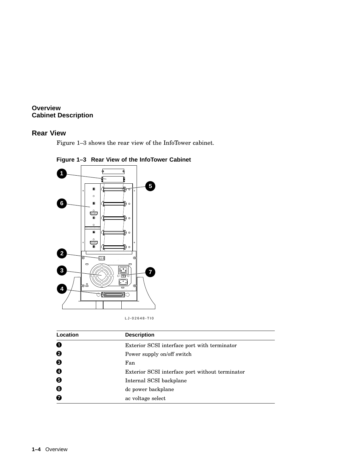#### **Overview Cabinet Description**

#### **Rear View**

Figure 1–3 shows the rear view of the InfoTower cabinet.



## **Figure 1–3 Rear View of the InfoTower Cabinet**

LJ-02648-TI0

| Location | <b>Description</b>                              |  |  |
|----------|-------------------------------------------------|--|--|
| 0        | Exterior SCSI interface port with terminator    |  |  |
| 0        | Power supply on/off switch                      |  |  |
| ❸        | Fan                                             |  |  |
| Ø        | Exterior SCSI interface port without terminator |  |  |
| Θ        | Internal SCSI backplane                         |  |  |
| ❺        | de power backplane                              |  |  |
| 6        | ac voltage select                               |  |  |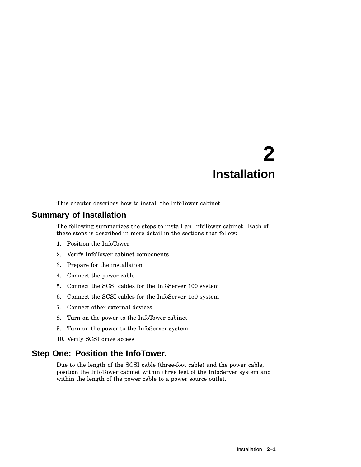# **2 Installation**

This chapter describes how to install the InfoTower cabinet.

## **Summary of Installation**

The following summarizes the steps to install an InfoTower cabinet. Each of these steps is described in more detail in the sections that follow:

- 1. Position the InfoTower
- 2. Verify InfoTower cabinet components
- 3. Prepare for the installation
- 4. Connect the power cable
- 5. Connect the SCSI cables for the InfoServer 100 system
- 6. Connect the SCSI cables for the InfoServer 150 system
- 7. Connect other external devices
- 8. Turn on the power to the InfoTower cabinet
- 9. Turn on the power to the InfoServer system
- 10. Verify SCSI drive access

### **Step One: Position the InfoTower.**

Due to the length of the SCSI cable (three-foot cable) and the power cable, position the InfoTower cabinet within three feet of the InfoServer system and within the length of the power cable to a power source outlet.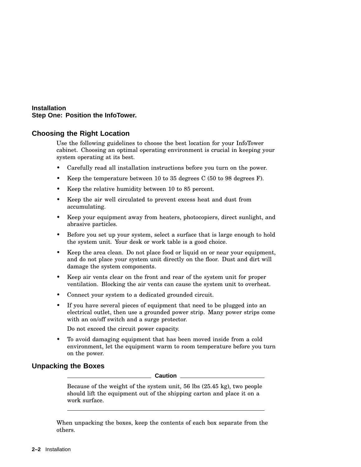#### **Installation Step One: Position the InfoTower.**

#### **Choosing the Right Location**

Use the following guidelines to choose the best location for your InfoTower cabinet. Choosing an optimal operating environment is crucial in keeping your system operating at its best.

- Carefully read all installation instructions before you turn on the power.
- Keep the temperature between 10 to 35 degrees C (50 to 98 degrees F).
- Keep the relative humidity between 10 to 85 percent.
- Keep the air well circulated to prevent excess heat and dust from accumulating.
- Keep your equipment away from heaters, photocopiers, direct sunlight, and abrasive particles.
- Before you set up your system, select a surface that is large enough to hold the system unit. Your desk or work table is a good choice.
- Keep the area clean. Do not place food or liquid on or near your equipment, and do not place your system unit directly on the floor. Dust and dirt will damage the system components.
- Keep air vents clear on the front and rear of the system unit for proper ventilation. Blocking the air vents can cause the system unit to overheat.
- Connect your system to a dedicated grounded circuit.
- If you have several pieces of equipment that need to be plugged into an electrical outlet, then use a grounded power strip. Many power strips come with an on/off switch and a surge protector.

Do not exceed the circuit power capacity.

• To avoid damaging equipment that has been moved inside from a cold environment, let the equipment warm to room temperature before you turn on the power.

#### **Unpacking the Boxes**

**Caution**

Because of the weight of the system unit, 56 lbs (25.45 kg), two people should lift the equipment out of the shipping carton and place it on a work surface.

When unpacking the boxes, keep the contents of each box separate from the others.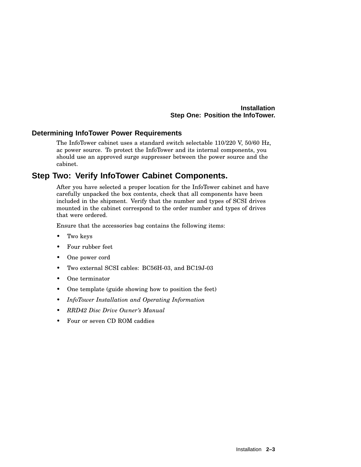#### **Installation Step One: Position the InfoTower.**

#### **Determining InfoTower Power Requirements**

The InfoTower cabinet uses a standard switch selectable 110/220 V, 50/60 Hz, ac power source. To protect the InfoTower and its internal components, you should use an approved surge suppresser between the power source and the cabinet.

## **Step Two: Verify InfoTower Cabinet Components.**

After you have selected a proper location for the InfoTower cabinet and have carefully unpacked the box contents, check that all components have been included in the shipment. Verify that the number and types of SCSI drives mounted in the cabinet correspond to the order number and types of drives that were ordered.

Ensure that the accessories bag contains the following items:

- Two keys
- Four rubber feet
- One power cord
- Two external SCSI cables: BC56H-03, and BC19J-03
- One terminator
- One template (guide showing how to position the feet)
- *InfoTower Installation and Operating Information*
- *RRD42 Disc Drive Owner's Manual*
- Four or seven CD ROM caddies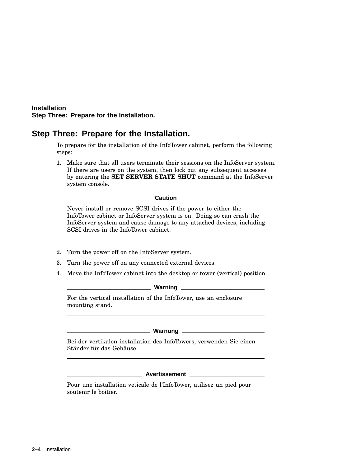#### **Installation Step Three: Prepare for the Installation.**

### **Step Three: Prepare for the Installation.**

To prepare for the installation of the InfoTower cabinet, perform the following steps:

1. Make sure that all users terminate their sessions on the InfoServer system. If there are users on the system, then lock out any subsequent accesses by entering the **SET SERVER STATE SHUT** command at the InfoServer system console.

**Caution**

Never install or remove SCSI drives if the power to either the InfoTower cabinet or InfoServer system is on. Doing so can crash the InfoServer system and cause damage to any attached devices, including SCSI drives in the InfoTower cabinet.

- 2. Turn the power off on the InfoServer system.
- 3. Turn the power off on any connected external devices.
- 4. Move the InfoTower cabinet into the desktop or tower (vertical) position.

**Warning**

For the vertical installation of the InfoTower, use an enclosure mounting stand.

#### **Warnung**

Bei der vertikalen installation des InfoTowers, verwenden Sie einen Ständer für das Gehäuse.

**Avertissement**

Pour une installation veticale de l'InfoTower, utilisez un pied pour soutenir le boitier.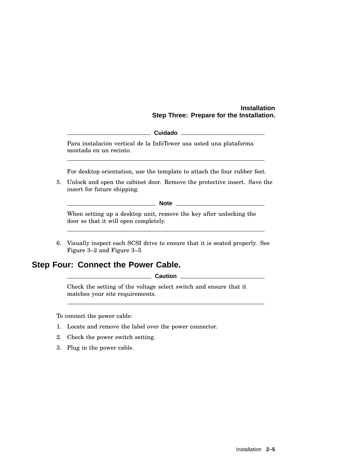#### **Installation Step Three: Prepare for the Installation.**

|--|

Para instalación vertical de la InfoTower usa usted una plataforma montada en un recinto.

For desktop orientation, use the template to attach the four rubber feet.

5. Unlock and open the cabinet door. Remove the protective insert. Save the insert for future shipping.

**Note** 2008 2009 2012 2022 2023 2024 2022 2022 2023 2024 2022 2023 2024 2022 2023 2024 2025 2026 2027 2028 2021 2022 2023 2024 2025 2026 2027 2028 2027 2028 2027 2028 2027 2028 2027 2028 2027 2028 2027 2028 2027 2028 2027

When setting up a desktop unit, remove the key after unlocking the door so that it will open completely.

6. Visually inspect each SCSI drive to ensure that it is seated properly. See Figure 3–2 and Figure 3–3.

### **Step Four: Connect the Power Cable.**

**Caution**

Check the setting of the voltage select switch and ensure that it matches your site requirements.

To connect the power cable:

- 1. Locate and remove the label over the power connector.
- 2. Check the power switch setting.
- 3. Plug in the power cable.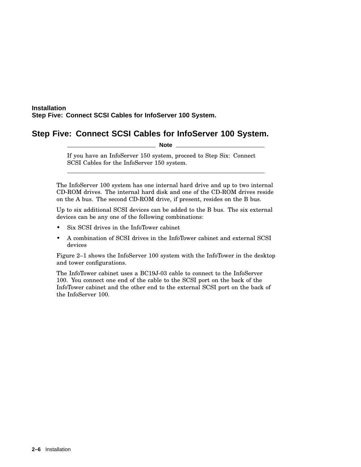## **Step Five: Connect SCSI Cables for InfoServer 100 System.**

**Note**

If you have an InfoServer 150 system, proceed to Step Six: Connect SCSI Cables for the InfoServer 150 system.

The InfoServer 100 system has one internal hard drive and up to two internal CD-ROM drives. The internal hard disk and one of the CD-ROM drives reside on the A bus. The second CD-ROM drive, if present, resides on the B bus.

Up to six additional SCSI devices can be added to the B bus. The six external devices can be any one of the following combinations:

- Six SCSI drives in the InfoTower cabinet
- A combination of SCSI drives in the InfoTower cabinet and external SCSI devices

Figure 2–1 shows the InfoServer 100 system with the InfoTower in the desktop and tower configurations.

The InfoTower cabinet uses a BC19J-03 cable to connect to the InfoServer 100. You connect one end of the cable to the SCSI port on the back of the InfoTower cabinet and the other end to the external SCSI port on the back of the InfoServer 100.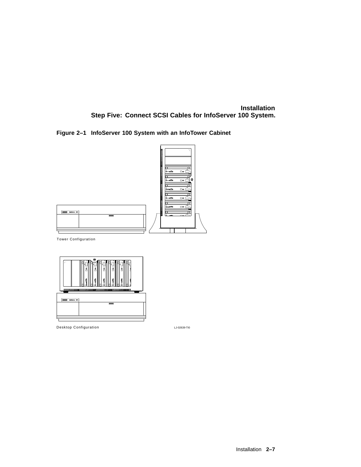**Figure 2–1 InfoServer 100 System with an InfoTower Cabinet**



Tower Configuration



Desktop Configuration

LJ-02639-TI0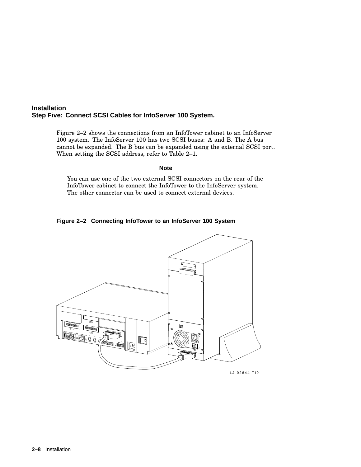Figure 2–2 shows the connections from an InfoTower cabinet to an InfoServer 100 system. The InfoServer 100 has two SCSI buses: A and B. The A bus cannot be expanded. The B bus can be expanded using the external SCSI port. When setting the SCSI address, refer to Table 2–1.

**Note** \_\_

You can use one of the two external SCSI connectors on the rear of the InfoTower cabinet to connect the InfoTower to the InfoServer system. The other connector can be used to connect external devices.





LJ-02644-TI0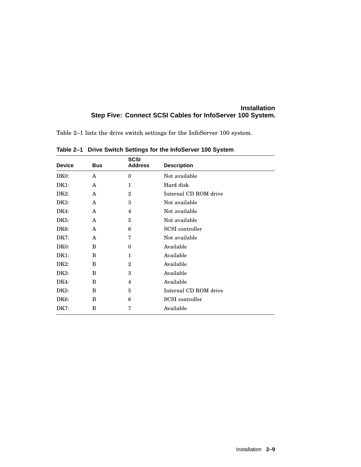Table 2–1 lists the drive switch settings for the InfoServer 100 system.

| <b>Device</b>     | <b>Bus</b> | <b>SCSI</b><br><b>Address</b> | <b>Description</b>    |
|-------------------|------------|-------------------------------|-----------------------|
| DK <sub>0</sub> : | A          | $\boldsymbol{0}$              | Not available         |
| DK1:              | A          | 1                             | Hard disk             |
| DK2:              | A          | $\overline{2}$                | Internal CD ROM drive |
| DK3:              | A          | 3                             | Not available         |
| DK4:              | A          | 4                             | Not available         |
| DK <sub>5</sub> : | A          | 5                             | Not available         |
| DK6:              | A          | 6                             | SCSI controller       |
| DK7:              | A          | 7                             | Not available         |
| DK0:              | B          | $\bf{0}$                      | Available             |
| DK1:              | B          | 1                             | Available             |
| $DK2$ :           | B          | $\overline{2}$                | Available             |
| DK3:              | B          | 3                             | Available             |
| DK4:              | B          | 4                             | Available             |
| DK5:              | B          | 5                             | Internal CD ROM drive |
| DK6:              | B          | 6                             | SCSI controller       |
| DK7:              | B          | 7                             | Available             |

**Table 2–1 Drive Switch Settings for the InfoServer 100 System**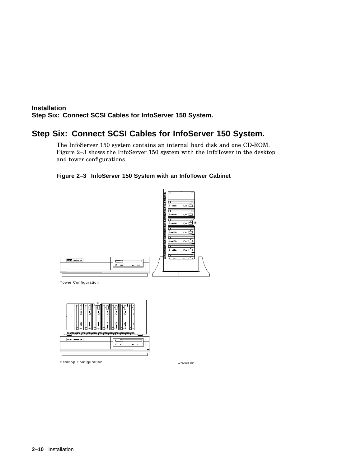## **Step Six: Connect SCSI Cables for InfoServer 150 System.**

The InfoServer 150 system contains an internal hard disk and one CD-ROM. Figure 2–3 shows the InfoServer 150 system with the InfoTower in the desktop and tower configurations.

#### **Figure 2–3 InfoServer 150 System with an InfoTower Cabinet**



Tower Configuration



Desktop Configuration

LJ-02638-TI0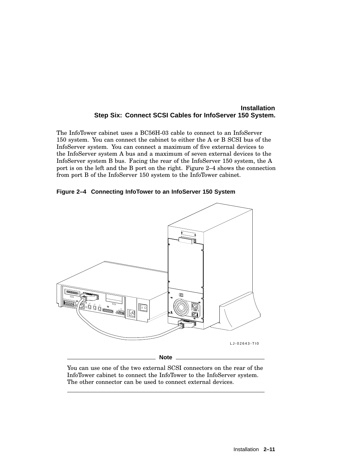The InfoTower cabinet uses a BC56H-03 cable to connect to an InfoServer 150 system. You can connect the cabinet to either the A or B SCSI bus of the InfoServer system. You can connect a maximum of five external devices to the InfoServer system A bus and a maximum of seven external devices to the InfoServer system B bus. Facing the rear of the InfoServer 150 system, the A port is on the left and the B port on the right. Figure 2–4 shows the connection from port B of the InfoServer 150 system to the InfoTower cabinet.





You can use one of the two external SCSI connectors on the rear of the InfoTower cabinet to connect the InfoTower to the InfoServer system. The other connector can be used to connect external devices.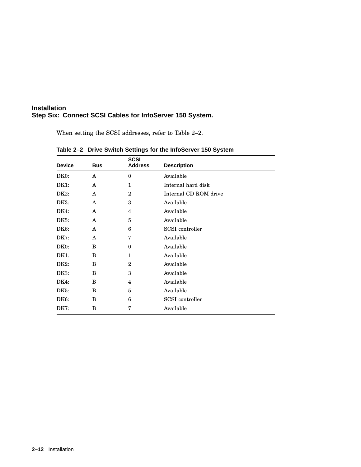When setting the SCSI addresses, refer to Table 2–2.

| <b>Device</b>     | <b>Bus</b> | <b>SCSI</b><br><b>Address</b> | <b>Description</b>     |
|-------------------|------------|-------------------------------|------------------------|
| DK <sub>0</sub> : | A          | $\mathbf{0}$                  | Available              |
| DK1:              | A          | $\mathbf 1$                   | Internal hard disk     |
| DK2:              | A          | $\overline{2}$                | Internal CD ROM drive  |
| DK3:              | A          | 3                             | Available              |
| DK4:              | A          | 4                             | Available              |
| DK5:              | A          | 5                             | Available              |
| DK6:              | A          | 6                             | SCSI controller        |
| DK7:              | A          | 7                             | Available              |
| DK0:              | B          | $\theta$                      | Available              |
| DK1:              | B          | $\mathbf 1$                   | Available              |
| DK <sub>2</sub> : | B          | $\overline{2}$                | Available              |
| DK3:              | B          | 3                             | Available              |
| DK4:              | B          | 4                             | Available              |
| DK5:              | B          | 5                             | Available              |
| DK6:              | B          | 6                             | <b>SCSI</b> controller |
| DK7:              | B          | 7                             | Available              |

| Table 2-2 Drive Switch Settings for the InfoServer 150 System |  |  |  |
|---------------------------------------------------------------|--|--|--|
|---------------------------------------------------------------|--|--|--|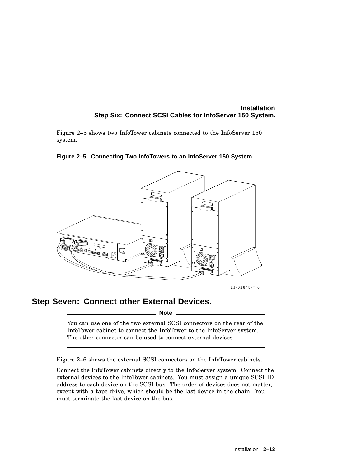Figure 2–5 shows two InfoTower cabinets connected to the InfoServer 150 system.

#### **Figure 2–5 Connecting Two InfoTowers to an InfoServer 150 System**



LJ-02645-TI0

## **Step Seven: Connect other External Devices.**

**Note**

You can use one of the two external SCSI connectors on the rear of the InfoTower cabinet to connect the InfoTower to the InfoServer system. The other connector can be used to connect external devices.

Figure 2–6 shows the external SCSI connectors on the InfoTower cabinets.

Connect the InfoTower cabinets directly to the InfoServer system. Connect the external devices to the InfoTower cabinets. You must assign a unique SCSI ID address to each device on the SCSI bus. The order of devices does not matter, except with a tape drive, which should be the last device in the chain. You must terminate the last device on the bus.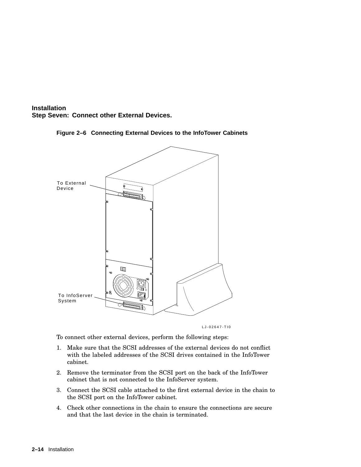



**Figure 2–6 Connecting External Devices to the InfoTower Cabinets**

LJ-02647-TI0

To connect other external devices, perform the following steps:

- 1. Make sure that the SCSI addresses of the external devices do not conflict with the labeled addresses of the SCSI drives contained in the InfoTower cabinet.
- 2. Remove the terminator from the SCSI port on the back of the InfoTower cabinet that is not connected to the InfoServer system.
- 3. Connect the SCSI cable attached to the first external device in the chain to the SCSI port on the InfoTower cabinet.
- 4. Check other connections in the chain to ensure the connections are secure and that the last device in the chain is terminated.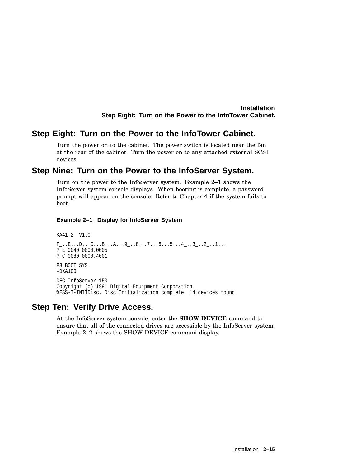#### **Installation Step Eight: Turn on the Power to the InfoTower Cabinet.**

#### **Step Eight: Turn on the Power to the InfoTower Cabinet.**

Turn the power on to the cabinet. The power switch is located near the fan at the rear of the cabinet. Turn the power on to any attached external SCSI devices.

## **Step Nine: Turn on the Power to the InfoServer System.**

Turn on the power to the InfoServer system. Example 2–1 shows the InfoServer system console displays. When booting is complete, a password prompt will appear on the console. Refer to Chapter 4 if the system fails to boot.

#### **Example 2–1 Display for InfoServer System**

```
KA41-2 V1.0
F_-.E. . . D. . . C. . . B. . . A. . . 9-. .8. . .7. . .6. . . 5. . . 4-. . 3-. . 2-. .1. . .? E 0040 0000.0005
? C 0080 0000.4001
83 BOOT SYS
-DKAI00DEC InfoServer 150
Copyright (c) 1991 Digital Equipment Corporation
%ESS-I-INITDisc, Disc Initialization complete, 14 devices found
```
#### **Step Ten: Verify Drive Access.**

At the InfoServer system console, enter the **SHOW DEVICE** command to ensure that all of the connected drives are accessible by the InfoServer system. Example 2–2 shows the SHOW DEVICE command display.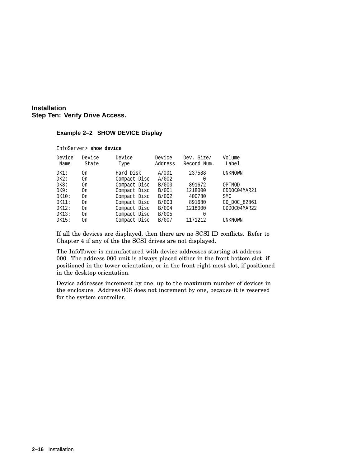#### **Installation Step Ten: Verify Drive Access.**

#### **Example 2–2 SHOW DEVICE Display**

| InfoServer> show device |                 |                |                   |                           |                 |  |
|-------------------------|-----------------|----------------|-------------------|---------------------------|-----------------|--|
| Device<br>Name          | Device<br>State | Device<br>Type | Device<br>Address | Dev. Size/<br>Record Num. | Volume<br>Label |  |
| DK1:                    | 0n              | Hard Disk      | A/001             | 237588                    | UNKNOWN         |  |
| DK2:                    | On              | Compact Disc   | A/002             | 0                         |                 |  |
| DK8:                    | 0n              | Compact Disc   | B/000             | 891672                    | OPTMOD          |  |
| DK9:                    | 0n              | Compact Disc   | B/001             | 1218000                   | CDDOC04MAR21    |  |
| DK10:                   | 0n              | Compact Disc   | B/002             | 400780                    | <b>SMC</b>      |  |
| DK11:                   | On              | Compact Disc   | B/003             | 891680                    | CD DOC 82861    |  |
| DK12:                   | On              | Compact Disc   | B/004             | 1218000                   | CDDOC04MAR22    |  |
| DK13:                   | On              | Compact Disc   | B/005             | 0                         |                 |  |
| DK15:                   | On              | Compact Disc   | B/007             | 1171212                   | UNKNOWN         |  |

If all the devices are displayed, then there are no SCSI ID conflicts. Refer to Chapter 4 if any of the the SCSI drives are not displayed.

The InfoTower is manufactured with device addresses starting at address 000. The address 000 unit is always placed either in the front bottom slot, if positioned in the tower orientation, or in the front right most slot, if positioned in the desktop orientation.

Device addresses increment by one, up to the maximum number of devices in the enclosure. Address 006 does not increment by one, because it is reserved for the system controller.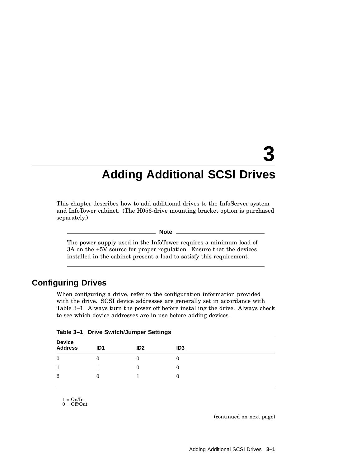# **Adding Additional SCSI Drives**

This chapter describes how to add additional drives to the InfoServer system and InfoTower cabinet. (The H056-drive mounting bracket option is purchased separately.)

#### **Note**

The power supply used in the InfoTower requires a minimum load of 3A on the +5V source for proper regulation. Ensure that the devices installed in the cabinet present a load to satisfy this requirement.

## **Configuring Drives**

When configuring a drive, refer to the configuration information provided with the drive. SCSI device addresses are generally set in accordance with Table 3–1. Always turn the power off before installing the drive. Always check to see which device addresses are in use before adding devices.

| Device<br>Address | ID <sub>1</sub> | ID2 | ID <sub>3</sub> |  |
|-------------------|-----------------|-----|-----------------|--|
| $\boldsymbol{0}$  |                 |     |                 |  |
| 1                 |                 |     |                 |  |
| $\overline{2}$    | U               |     |                 |  |

|  |  | Table 3-1 Drive Switch/Jumper Settings |  |
|--|--|----------------------------------------|--|
|--|--|----------------------------------------|--|

1 = On/In 0 = Off/Out

(continued on next page)

**3**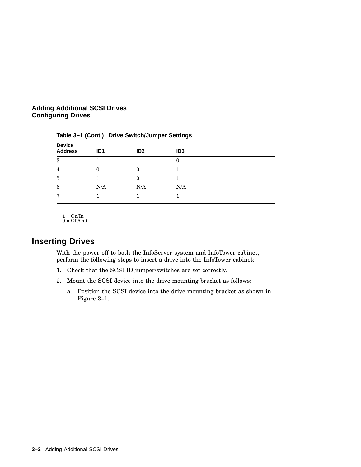#### **Adding Additional SCSI Drives Configuring Drives**

| <b>Device</b><br><b>Address</b> | ID <sub>1</sub> | ID <sub>2</sub> | ID <sub>3</sub> |  |
|---------------------------------|-----------------|-----------------|-----------------|--|
| 3                               |                 |                 | 0               |  |
| $\overline{4}$                  | $\theta$        | 0               |                 |  |
| 5                               |                 | 0               |                 |  |
| 6                               | N/A             | N/A             | N/A             |  |
| 7                               |                 |                 |                 |  |
|                                 |                 |                 |                 |  |

**Table 3–1 (Cont.) Drive Switch/Jumper Settings**

 $1 = \text{On} / \text{In}$  $0 = \text{Off}/\text{Out}$ 

## **Inserting Drives**

With the power off to both the InfoServer system and InfoTower cabinet, perform the following steps to insert a drive into the InfoTower cabinet:

- 1. Check that the SCSI ID jumper/switches are set correctly.
- 2. Mount the SCSI device into the drive mounting bracket as follows:
	- a. Position the SCSI device into the drive mounting bracket as shown in Figure 3–1.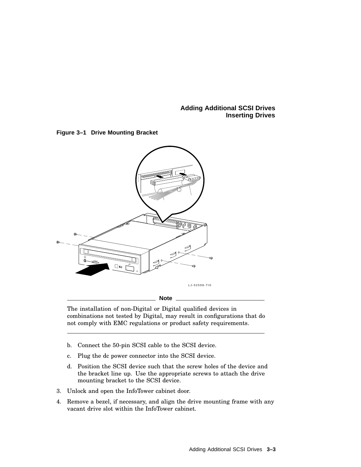**Adding Additional SCSI Drives Inserting Drives**





The installation of non-Digital or Digital qualified devices in combinations not tested by Digital, may result in configurations that do not comply with EMC regulations or product safety requirements.

- b. Connect the 50-pin SCSI cable to the SCSI device.
- c. Plug the dc power connector into the SCSI device.
- d. Position the SCSI device such that the screw holes of the device and the bracket line up. Use the appropriate screws to attach the drive mounting bracket to the SCSI device.
- 3. Unlock and open the InfoTower cabinet door.
- 4. Remove a bezel, if necessary, and align the drive mounting frame with any vacant drive slot within the InfoTower cabinet.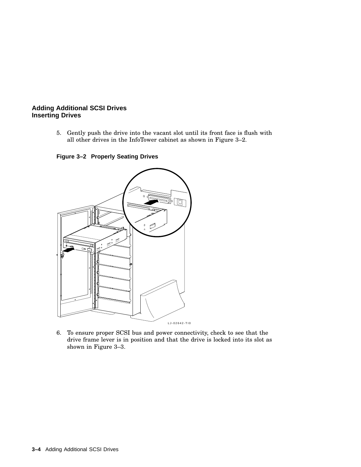#### **Adding Additional SCSI Drives Inserting Drives**

5. Gently push the drive into the vacant slot until its front face is flush with all other drives in the InfoTower cabinet as shown in Figure 3–2.

**Figure 3–2 Properly Seating Drives**



6. To ensure proper SCSI bus and power connectivity, check to see that the drive frame lever is in position and that the drive is locked into its slot as shown in Figure 3–3.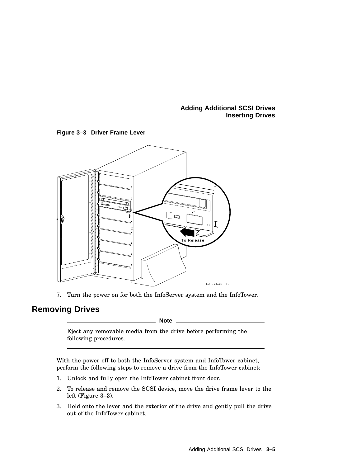#### **Adding Additional SCSI Drives Inserting Drives**





7. Turn the power on for both the InfoServer system and the InfoTower.

## **Removing Drives**

**Note**

Eject any removable media from the drive before performing the following procedures.

With the power off to both the InfoServer system and InfoTower cabinet, perform the following steps to remove a drive from the InfoTower cabinet:

- 1. Unlock and fully open the InfoTower cabinet front door.
- 2. To release and remove the SCSI device, move the drive frame lever to the left (Figure 3–3).
- 3. Hold onto the lever and the exterior of the drive and gently pull the drive out of the InfoTower cabinet.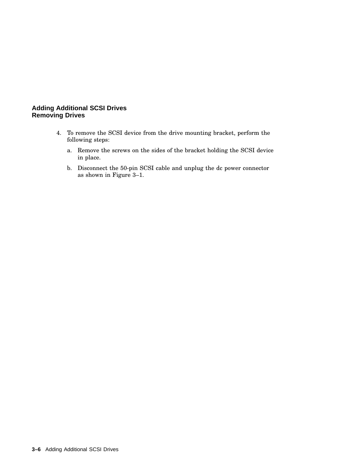#### **Adding Additional SCSI Drives Removing Drives**

- 4. To remove the SCSI device from the drive mounting bracket, perform the following steps:
	- a. Remove the screws on the sides of the bracket holding the SCSI device in place.
	- b. Disconnect the 50-pin SCSI cable and unplug the dc power connector as shown in Figure 3–1.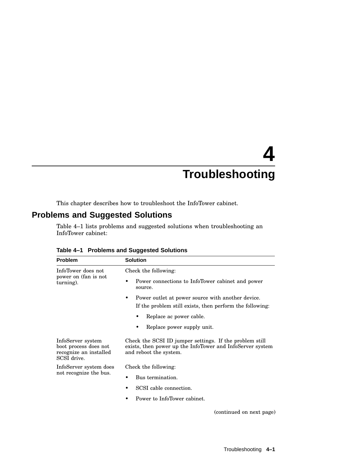# **4 Troubleshooting**

This chapter describes how to troubleshoot the InfoTower cabinet.

## **Problems and Suggested Solutions**

Table 4–1 lists problems and suggested solutions when troubleshooting an InfoTower cabinet:

| <b>Problem</b>                                                                      | <b>Solution</b>                                                                                                                                |
|-------------------------------------------------------------------------------------|------------------------------------------------------------------------------------------------------------------------------------------------|
| InfoTower does not                                                                  | Check the following:                                                                                                                           |
| power on (fan is not<br>turning).                                                   | Power connections to InfoTower cabinet and power<br>source.                                                                                    |
|                                                                                     | Power outlet at power source with another device.<br>٠<br>If the problem still exists, then perform the following:                             |
|                                                                                     | Replace ac power cable.<br>٠                                                                                                                   |
|                                                                                     | Replace power supply unit.                                                                                                                     |
| InfoServer system<br>boot process does not<br>recognize an installed<br>SCSI drive. | Check the SCSI ID jumper settings. If the problem still<br>exists, then power up the InfoTower and InfoServer system<br>and reboot the system. |
| InfoServer system does                                                              | Check the following:                                                                                                                           |
| not recognize the bus.                                                              | Bus termination.                                                                                                                               |
|                                                                                     | SCSI cable connection.                                                                                                                         |
|                                                                                     | Power to InfoTower cabinet.                                                                                                                    |
|                                                                                     | (continued on next page)                                                                                                                       |

|  |  |  | Table 4-1 Problems and Suggested Solutions |  |
|--|--|--|--------------------------------------------|--|
|--|--|--|--------------------------------------------|--|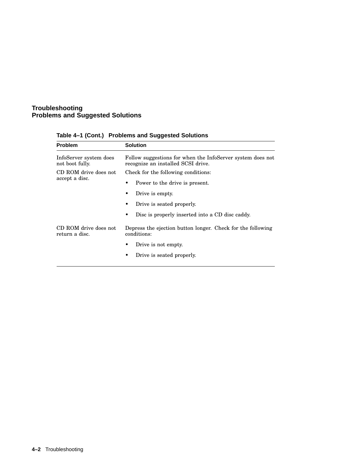#### **Troubleshooting Problems and Suggested Solutions**

| <b>Problem</b>                            | <b>Solution</b>                                                                                  |  |  |  |
|-------------------------------------------|--------------------------------------------------------------------------------------------------|--|--|--|
| InfoServer system does<br>not boot fully. | Follow suggestions for when the InfoServer system does not<br>recognize an installed SCSI drive. |  |  |  |
| CD ROM drive does not                     | Check for the following conditions:                                                              |  |  |  |
| accept a disc.                            | Power to the drive is present.                                                                   |  |  |  |
|                                           | Drive is empty.                                                                                  |  |  |  |
|                                           | Drive is seated properly.                                                                        |  |  |  |
|                                           | Disc is properly inserted into a CD disc caddy.<br>٠                                             |  |  |  |
| CD ROM drive does not<br>return a disc.   | Depress the ejection button longer. Check for the following<br>conditions:                       |  |  |  |
|                                           | Drive is not empty.                                                                              |  |  |  |
|                                           | Drive is seated properly.<br>٠                                                                   |  |  |  |
|                                           |                                                                                                  |  |  |  |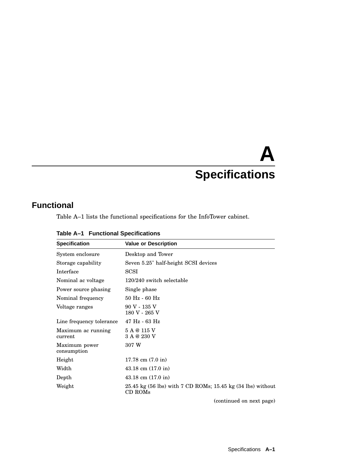# **A Specifications**

## **Functional**

Table A–1 lists the functional specifications for the InfoTower cabinet.

| <b>Specification</b>          | <b>Value or Description</b>                                                      |
|-------------------------------|----------------------------------------------------------------------------------|
| System enclosure              | Desktop and Tower                                                                |
| Storage capability            | Seven 5.25" half-height SCSI devices                                             |
| Interface                     | <b>SCSI</b>                                                                      |
| Nominal ac voltage            | 120/240 switch selectable                                                        |
| Power source phasing          | Single phase                                                                     |
| Nominal frequency             | $50$ Hz - $60$ Hz                                                                |
| Voltage ranges                | 90 V - 135 V<br>180 V - 265 V                                                    |
| Line frequency tolerance      | $47 \text{ Hz}$ - 63 Hz                                                          |
| Maximum ac running<br>current | 5 A @ 115 V<br>3 A @ 230 V                                                       |
| Maximum power<br>consumption  | 307 W                                                                            |
| Height                        | 17.78 cm $(7.0 \text{ in})$                                                      |
| Width                         | $43.18$ cm $(17.0)$ in                                                           |
| Depth                         | $43.18$ cm $(17.0)$ in                                                           |
| Weight                        | $25.45 \text{ kg}$ (56 lbs) with 7 CD ROMs; 15.45 kg (34 lbs) without<br>CD ROMs |

**Table A–1 Functional Specifications**

(continued on next page)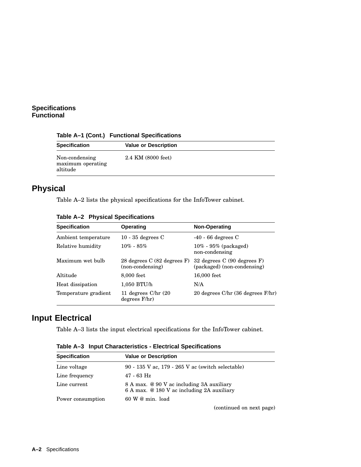#### **Specifications Functional**

| Table A–1 (Cont.) Functional Specifications |
|---------------------------------------------|
|---------------------------------------------|

| <b>Specification</b>                            | <b>Value or Description</b> |  |
|-------------------------------------------------|-----------------------------|--|
| Non-condensing<br>maximum operating<br>altitude | 2.4 KM (8000 feet)          |  |

## **Physical**

Table A–2 lists the physical specifications for the InfoTower cabinet.

|  | Table A-2 Physical Specifications |
|--|-----------------------------------|
|  |                                   |

| <b>Specification</b> | <b>Operating</b>                                | Non-Operating                                                  |
|----------------------|-------------------------------------------------|----------------------------------------------------------------|
| Ambient temperature  | 10 - 35 degrees $C$                             | $-40 - 66$ degrees C                                           |
| Relative humidity    | $10\% - 85\%$                                   | $10\%$ - 95% (packaged)<br>non-condensing                      |
| Maximum wet bulb     | 28 degrees C (82 degrees F)<br>(non-condensing) | 32 degrees $C(90$ degrees $F$ )<br>(packaged) (non-condensing) |
| Altitude             | 8,000 feet                                      | 16,000 feet                                                    |
| Heat dissipation     | 1,050 BTU/h                                     | N/A                                                            |
| Temperature gradient | 11 degrees $C/hr(20)$<br>degrees F/hr)          | 20 degrees $C/hr$ (36 degrees $F/hr$ )                         |

## **Input Electrical**

Table A–3 lists the input electrical specifications for the InfoTower cabinet.

| <b>Specification</b> | <b>Value or Description</b>                                                             |
|----------------------|-----------------------------------------------------------------------------------------|
| Line voltage         | 90 - 135 V ac, 179 - 265 V ac (switch selectable)                                       |
| Line frequency       | 47 - 63 Hz                                                                              |
| Line current         | 8 A max. @ 90 V ac including 3A auxiliary<br>6 A max. @ 180 V ac including 2A auxiliary |
| Power consumption    | $60 \text{ W}$ @ min. load                                                              |

**Table A–3 Input Characteristics - Electrical Specifications**

(continued on next page)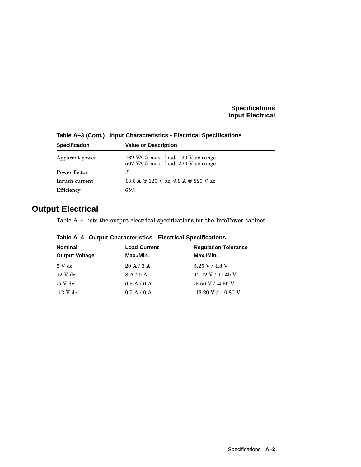#### **Specifications Input Electrical**

| <b>Specification</b> | <b>Value or Description</b>                                                              |  |
|----------------------|------------------------------------------------------------------------------------------|--|
| Apparent power       | 462 VA $\omega$ max. load, 120 V ac range<br>$507$ VA $\omega$ max. load, 220 V ac range |  |
| Power factor         | .5                                                                                       |  |
| Inrush current       | 13.6 A @ 120 V ac, 9.9 A @ 220 V ac                                                      |  |
| Efficiency           | 65%                                                                                      |  |

**Table A–3 (Cont.) Input Characteristics - Electrical Specifications**

## **Output Electrical**

Table A–4 lists the output electrical specifications for the InfoTower cabinet.

| <b>Nominal</b><br><b>Load Current</b> |             | <b>Regulation Tolerance</b> |
|---------------------------------------|-------------|-----------------------------|
| <b>Output Voltage</b>                 | Max./Min.   | Max./Min.                   |
| 5 V dc                                | 20A/3A      | 5.25 V / 4.8 V              |
| $12 \text{ V}$ dc                     | 8A/0A       | 12.72 V / 11.40 V           |
| $-5$ V dc                             | 0.5 A / 0 A | $-5.50$ V / $-4.50$ V       |
| $-12$ V dc                            | 0.5 A / 0 A | $-13.20$ V / $-10.80$ V     |

**Table A–4 Output Characteristics - Electrical Specifications**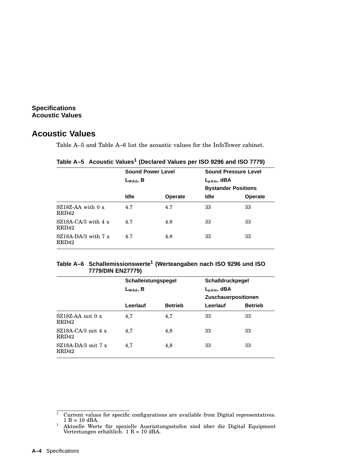#### **Specifications Acoustic Values**

### **Acoustic Values**

Table A–5 and Table A–6 list the acoustic values for the InfoTower cabinet.

**Table A–5 Acoustic Values<sup>1</sup> (Declared Values per ISO 9296 and ISO 7779)**

|               |                |                          | <b>Sound Pressure Level</b> |
|---------------|----------------|--------------------------|-----------------------------|
| $L_{WAd}$ , B |                | $L_{pAm}$ , dBA          |                             |
|               |                |                          | <b>Bystander Positions</b>  |
| <b>Idle</b>   | <b>Operate</b> | <b>Idle</b>              | <b>Operate</b>              |
| 4.7           | 4.7            | 33                       | 33                          |
| 4.7           | 4.8            | 33                       | 33                          |
| 4.7           | 4.8            | 33                       | 33                          |
|               |                | <b>Sound Power Level</b> |                             |

#### **Table A–6 Schallemissionswerte<sup>1</sup> (Werteangaben nach ISO 9296 und ISO 7779/DIN EN27779)**

| Schalldruckpegel    |                |
|---------------------|----------------|
| $L_{pAm}$ , dBA     |                |
| Zuschauerpositionen |                |
| Leerlauf            | <b>Betrieb</b> |
| 33<br>33            |                |
| 33<br>33            |                |
| 33<br>33            |                |
|                     |                |

 $1$  Current values for specific configurations are available from Digital representatives.  $1 B = 10$  dBA.

<sup>&</sup>lt;sup>1</sup> Aktuelle Werte für spezielle Ausrüstungsstufen sind über die Digital Equipment Vertretungen erhältlich. 1 B = 10 dBA.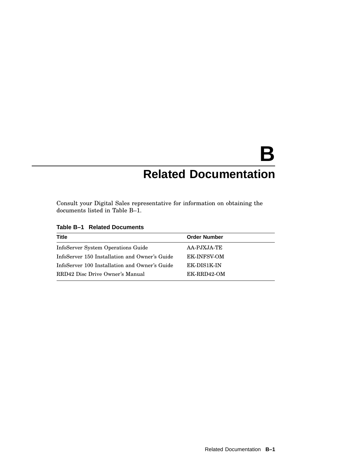# **B Related Documentation**

Consult your Digital Sales representative for information on obtaining the documents listed in Table B–1.

|  |  |  |  | Table B-1 Related Documents |
|--|--|--|--|-----------------------------|
|--|--|--|--|-----------------------------|

| Title                                         | <b>Order Number</b> |
|-----------------------------------------------|---------------------|
| InfoServer System Operations Guide            | AA-PJXJA-TE         |
| InfoServer 150 Installation and Owner's Guide | <b>EK-INFSV-OM</b>  |
| InfoServer 100 Installation and Owner's Guide | EK-DIS1K-IN         |
| RRD42 Disc Drive Owner's Manual               | EK-RRD42-OM         |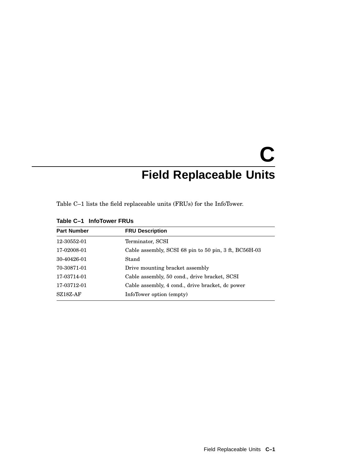# **C Field Replaceable Units**

Table C–1 lists the field replaceable units (FRUs) for the InfoTower.

| <b>Part Number</b> | <b>FRU Description</b>                                |
|--------------------|-------------------------------------------------------|
| 12-30552-01        | Terminator, SCSI                                      |
| 17-02008-01        | Cable assembly, SCSI 68 pin to 50 pin, 3 ft, BC56H-03 |
| 30-40426-01        | Stand                                                 |
| 70-30871-01        | Drive mounting bracket assembly                       |
| 17-03714-01        | Cable assembly, 50 cond., drive bracket, SCSI         |
| 17-03712-01        | Cable assembly, 4 cond., drive bracket, dc power      |
| $SZ18Z-AF$         | InfoTower option (empty)                              |

**Table C–1 InfoTower FRUs**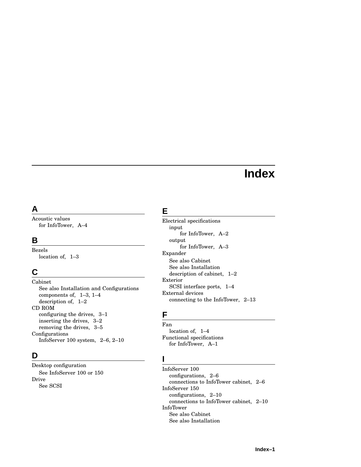## **Index**

## **A**

Acoustic values for InfoTower, A–4

#### **B**

Bezels location of, 1–3

## **C**

Cabinet See also Installation and Configurations components of, 1–3, 1–4 description of, 1–2 CD ROM configuring the drives, 3–1 inserting the drives, 3–2 removing the drives, 3–5 Configurations InfoServer 100 system, 2–6, 2–10

## **D**

Desktop configuration See InfoServer 100 or 150 Drive See SCSI

## **E**

Electrical specifications input for InfoTower, A–2 output for InfoTower, A–3 Expander See also Cabinet See also Installation description of cabinet, 1–2 Exterior SCSI interface ports, 1–4 External devices connecting to the InfoTower, 2–13

### **F**

Fan location of, 1–4 Functional specifications for InfoTower, A–1

### **I**

InfoServer 100 configurations, 2–6 connections to InfoTower cabinet, 2–6 InfoServer 150 configurations, 2–10 connections to InfoTower cabinet, 2–10 InfoTower See also Cabinet See also Installation